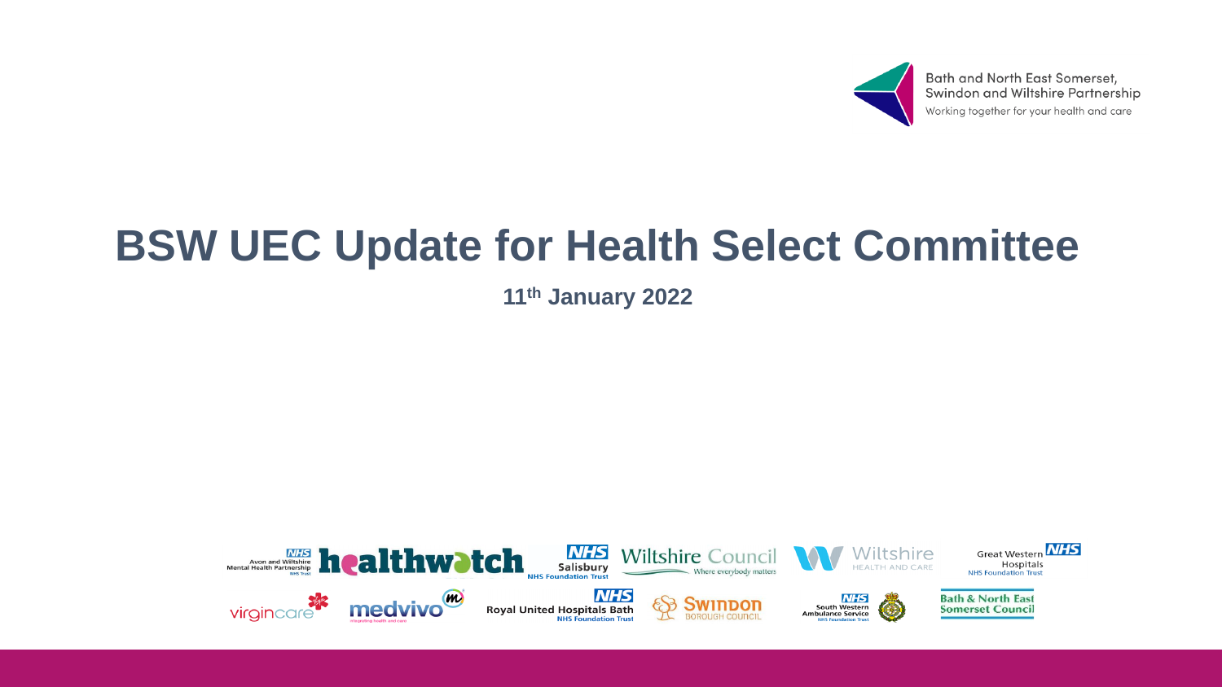

Bath and North East Somerset,<br>Swindon and Wiltshire Partnership Working together for your health and care

# **BSW UEC Update for Health Select Committee**

**11th January 2022**

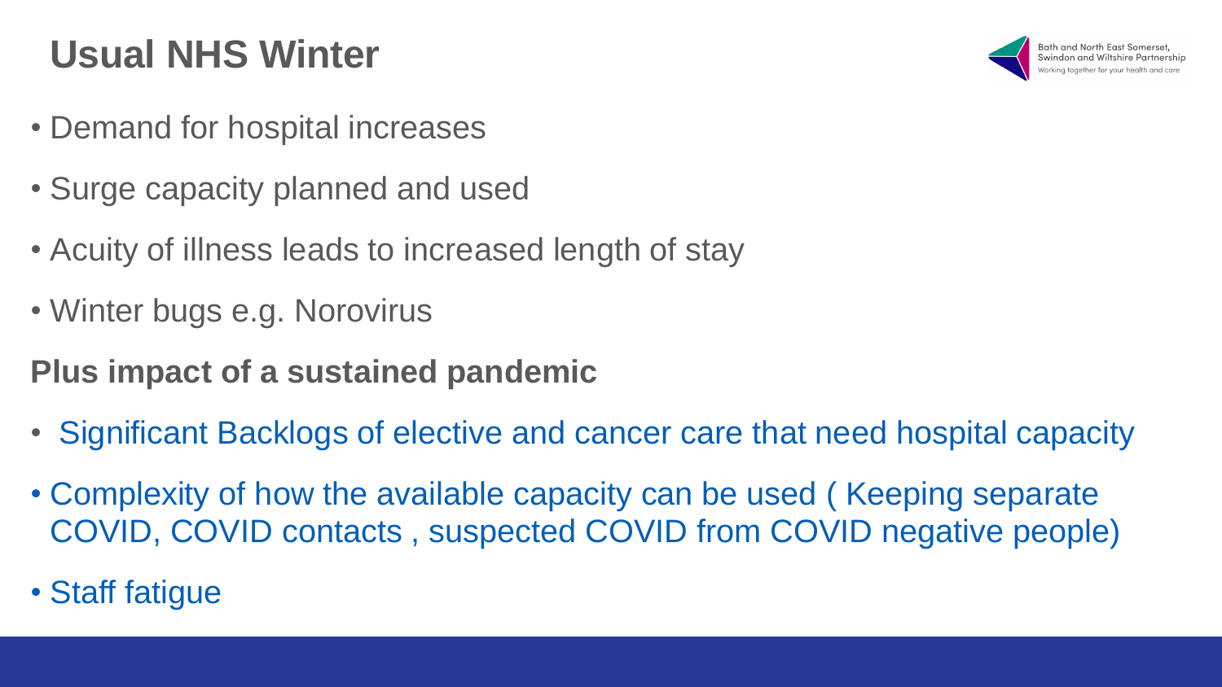### **Usual NHS Winter**

- Demand for hospital increases
- Surge capacity planned and used
- Acuity of illness leads to increased length of stay
- Winter bugs e.g. Norovirus
- **Plus impact of a sustained pandemic**
- Significant Backlogs of elective and cancer care that need hospital capacity
- Complexity of how the available capacity can be used ( Keeping separate COVID, COVID contacts , suspected COVID from COVID negative people)
- Staff fatigue

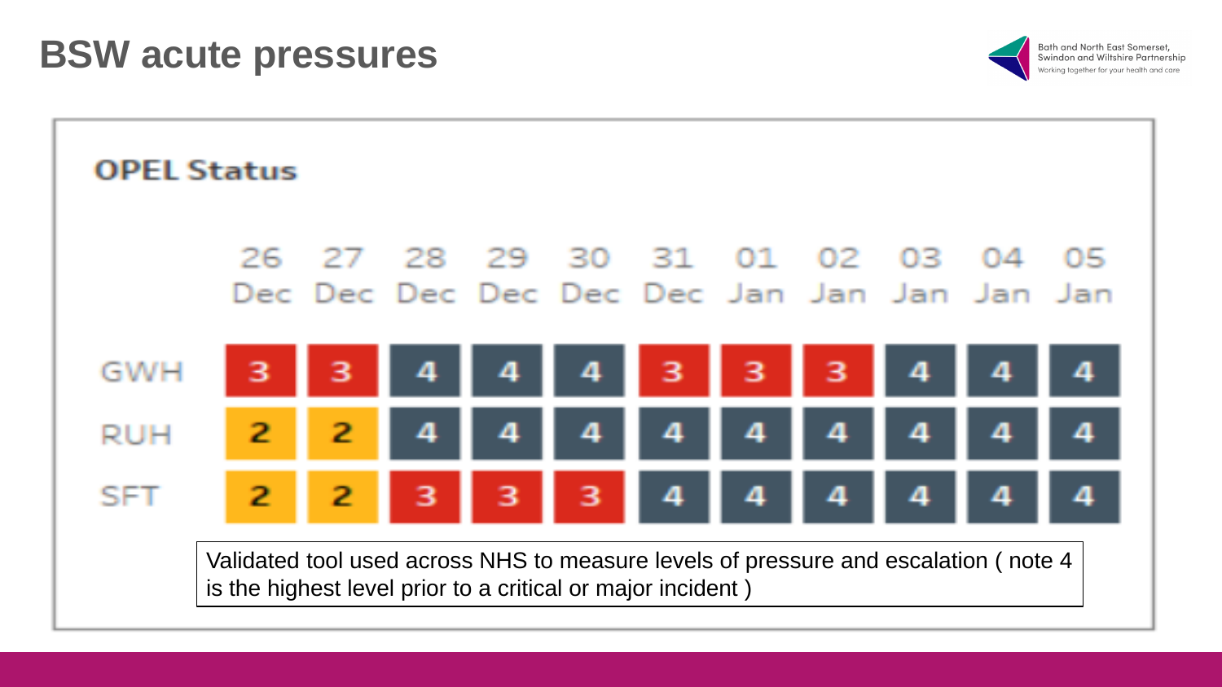

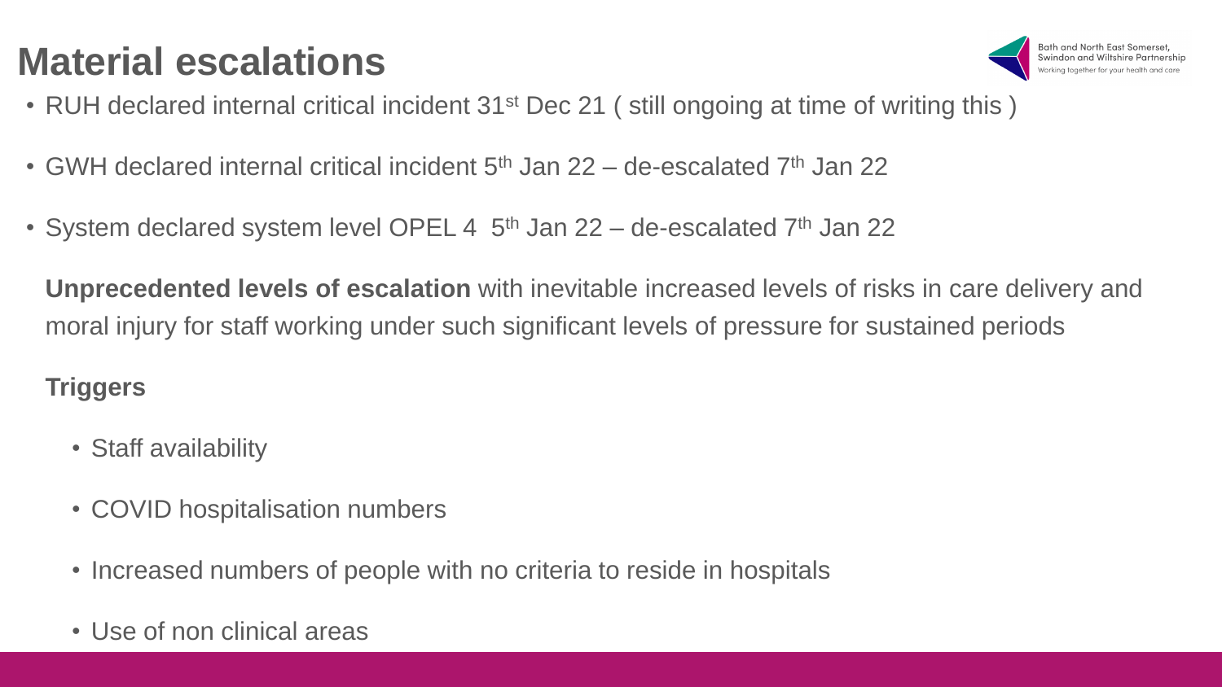## **Material escalations**



- RUH declared internal critical incident 31<sup>st</sup> Dec 21 (still ongoing at time of writing this )
- GWH declared internal critical incident  $5<sup>th</sup>$  Jan 22 de-escalated  $7<sup>th</sup>$  Jan 22
- System declared system level OPEL 4  $5<sup>th</sup>$  Jan 22 de-escalated 7<sup>th</sup> Jan 22

**Unprecedented levels of escalation** with inevitable increased levels of risks in care delivery and moral injury for staff working under such significant levels of pressure for sustained periods

#### **Triggers**

- Staff availability
- COVID hospitalisation numbers
- Increased numbers of people with no criteria to reside in hospitals
- Use of non clinical areas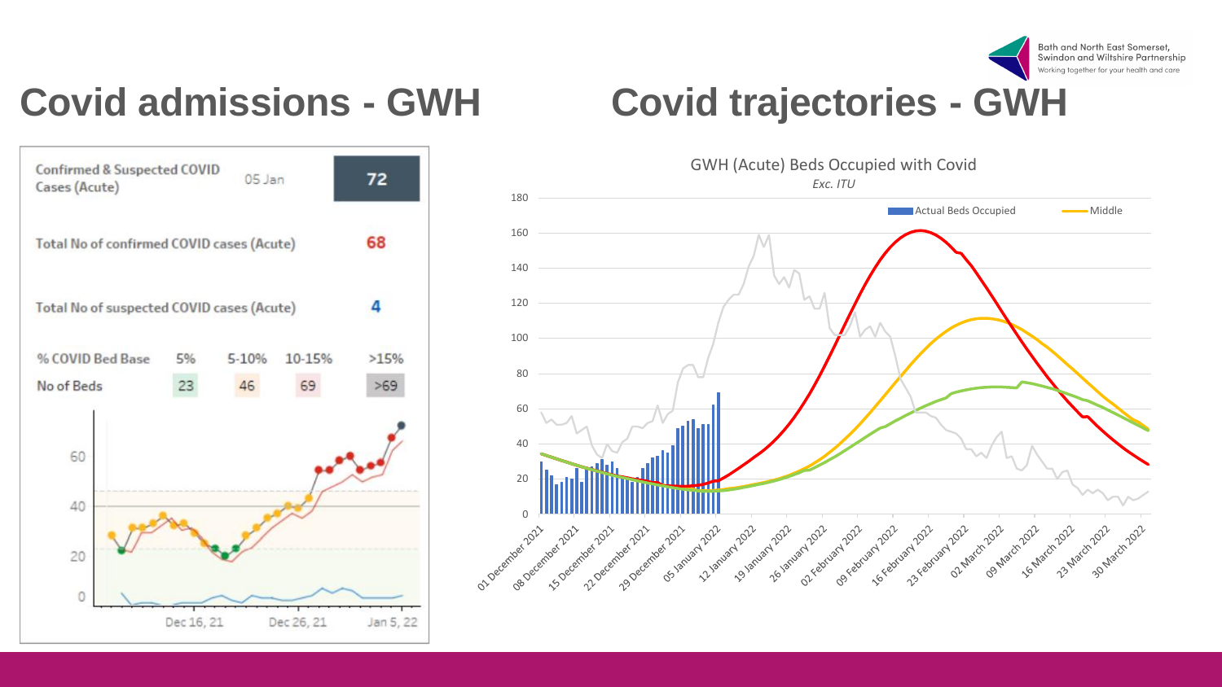

## **Covid admissions - GWH Covid trajectories - GWH**



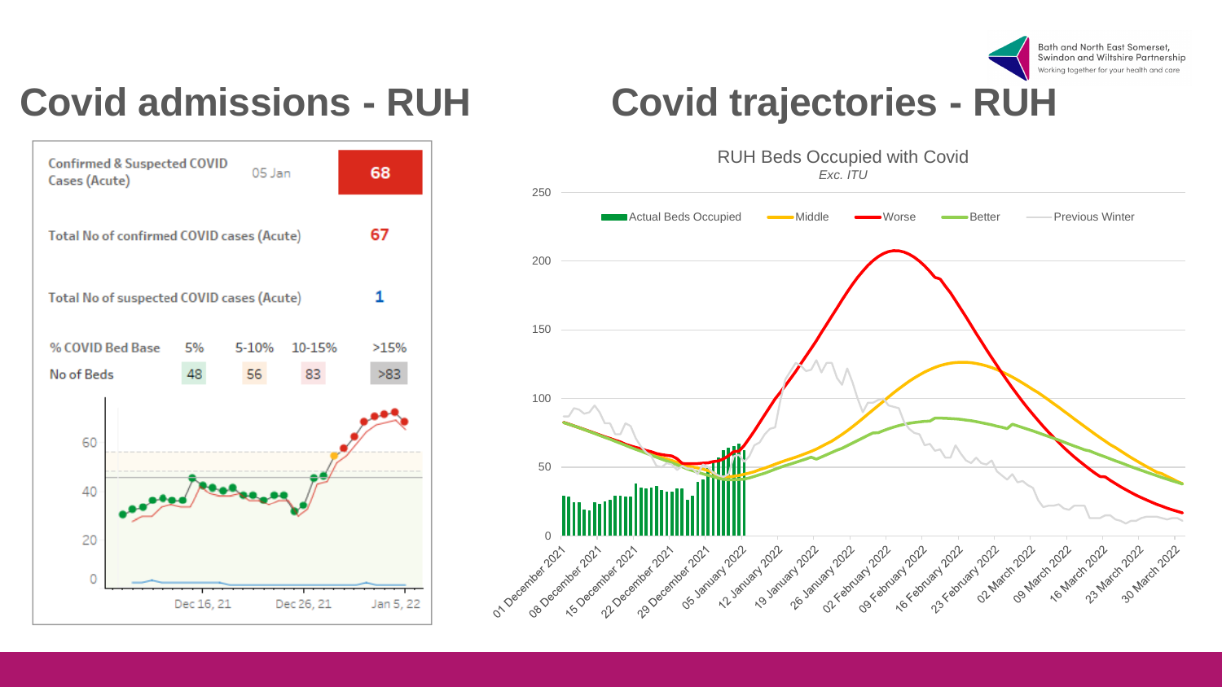

## **Covid admissions - RUH Covid trajectories - RUH**



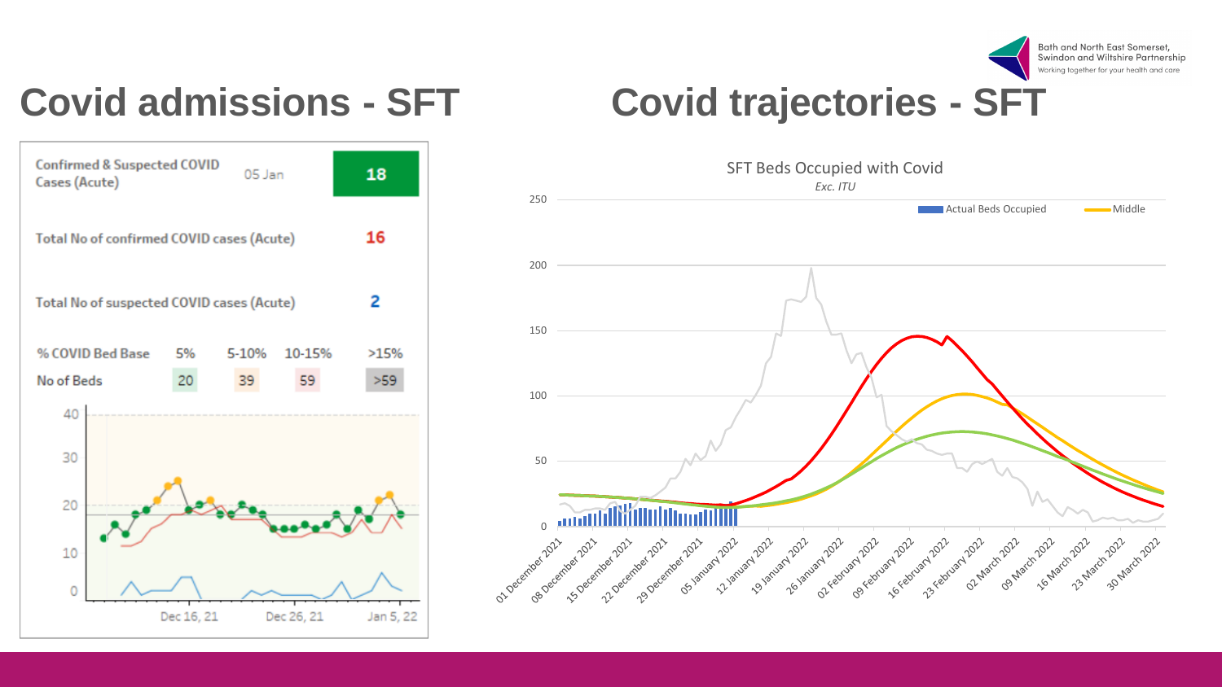

#### **Covid admissions - SFT Covid trajectories - SFT**



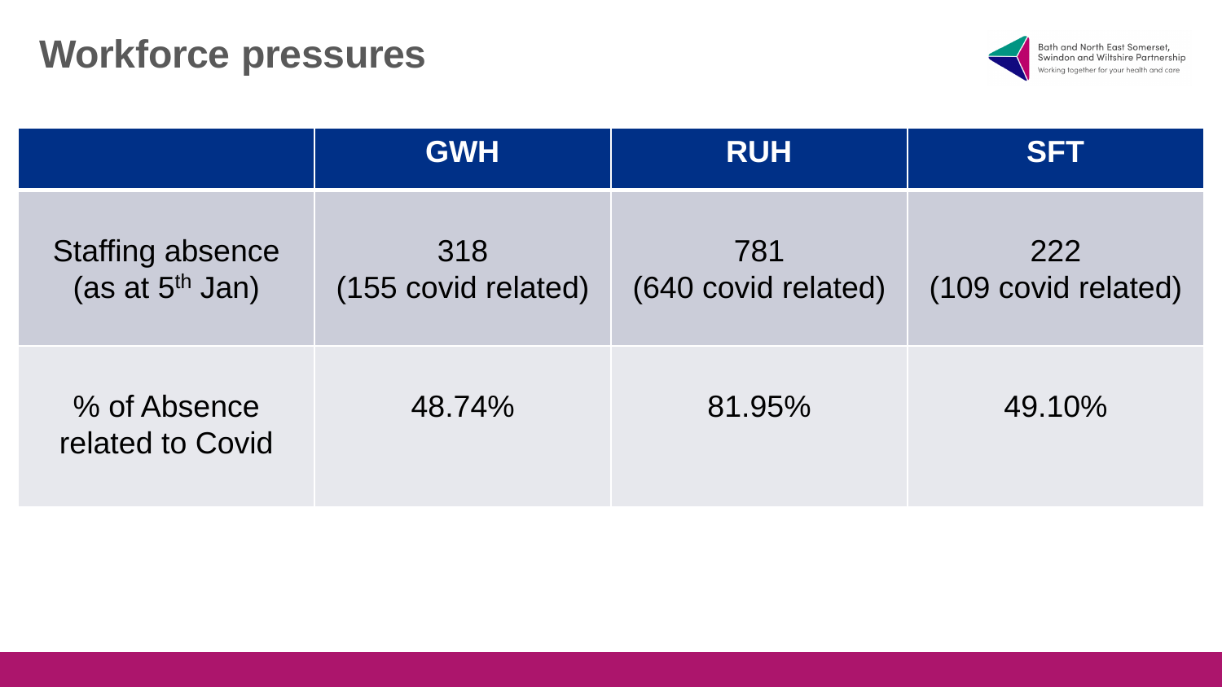#### **Workforce pressures**



|                                              | <b>GWH</b>                 | <b>RUH</b>                 | <b>SFT</b>                 |
|----------------------------------------------|----------------------------|----------------------------|----------------------------|
| <b>Staffing absence</b><br>(as at $5th$ Jan) | 318<br>(155 covid related) | 781<br>(640 covid related) | 222<br>(109 covid related) |
| % of Absence<br>related to Covid             | 48.74%                     | 81.95%                     | 49.10%                     |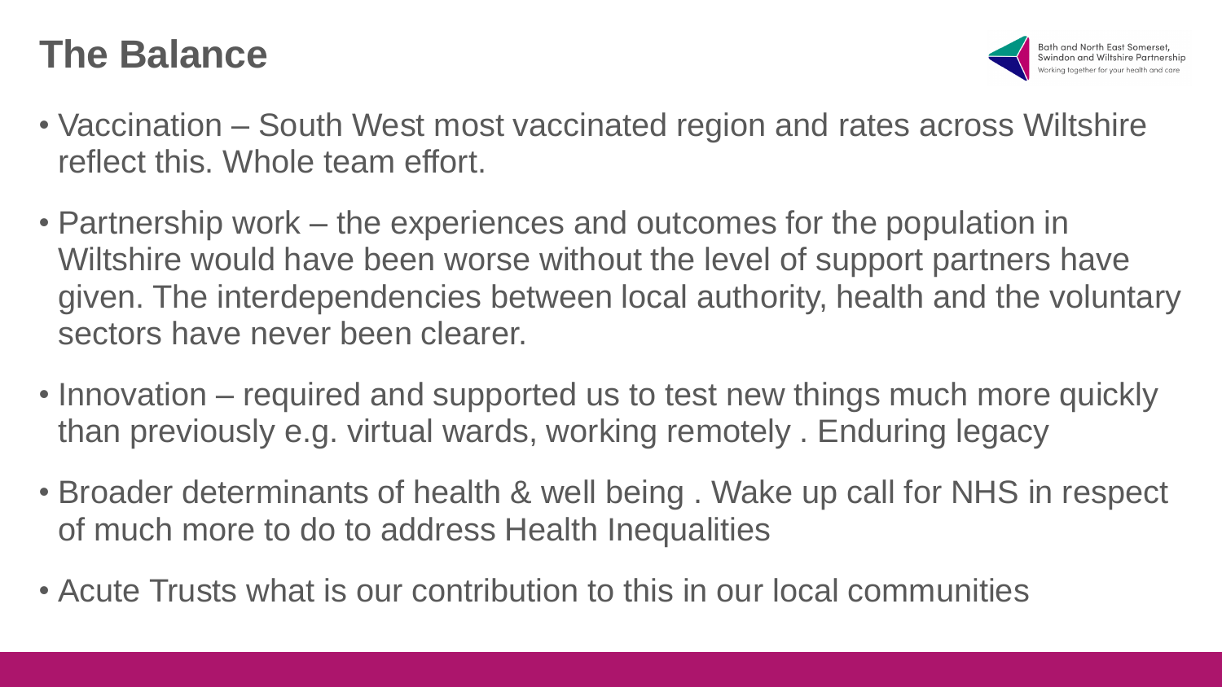#### **The Balance**



- Vaccination South West most vaccinated region and rates across Wiltshire reflect this. Whole team effort.
- Partnership work the experiences and outcomes for the population in Wiltshire would have been worse without the level of support partners have given. The interdependencies between local authority, health and the voluntary sectors have never been clearer.
- Innovation required and supported us to test new things much more quickly than previously e.g. virtual wards, working remotely . Enduring legacy
- Broader determinants of health & well being . Wake up call for NHS in respect of much more to do to address Health Inequalities
- Acute Trusts what is our contribution to this in our local communities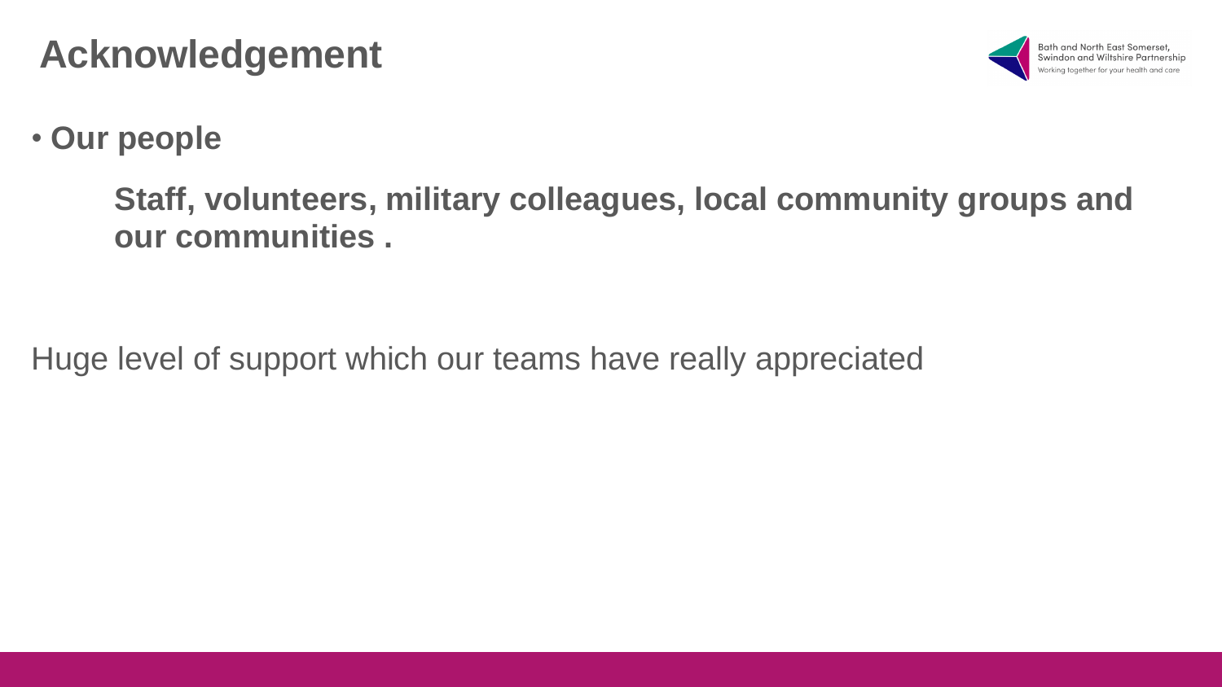#### **Acknowledgement**



#### • **Our people**

#### **Staff, volunteers, military colleagues, local community groups and our communities .**

Huge level of support which our teams have really appreciated